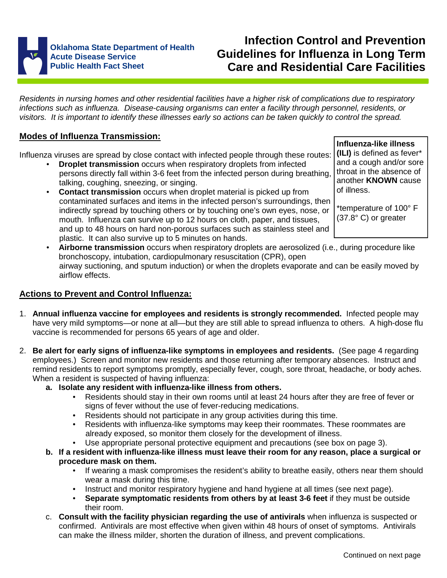

# **Infection Control and Prevention Guidelines for Influenza in Long Term Care and Residential Care Facilities**

Residents in nursing homes and other residential facilities have a higher risk of complications due to respiratory infections such as influenza. Disease-causing organisms can enter a facility through personnel, residents, or visitors. It is important to identify these illnesses early so actions can be taken quickly to control the spread.

# **Modes of Influenza Transmission:**

Influenza viruses are spread by close contact with infected people through these routes:

- **Droplet transmission** occurs when respiratory droplets from infected persons directly fall within 3-6 feet from the infected person during breathing, talking, coughing, sneezing, or singing.
- **Contact transmission** occurs when droplet material is picked up from contaminated surfaces and items in the infected person's surroundings, then indirectly spread by touching others or by touching one's own eyes, nose, or mouth. Influenza can survive up to 12 hours on cloth, paper, and tissues, and up to 48 hours on hard non-porous surfaces such as stainless steel and plastic. It can also survive up to 5 minutes on hands.

**Influenza-like illness (ILI)** is defined as fever\* and a cough and/or sore throat in the absence of another **KNOWN** cause of illness.

\*temperature of 100° F (37.8° C) or greater

• **Airborne transmission** occurs when respiratory droplets are aerosolized (i.e., during procedure like bronchoscopy, intubation, cardiopulmonary resuscitation (CPR), open airway suctioning, and sputum induction) or when the droplets evaporate and can be easily moved by airflow effects.

# **Actions to Prevent and Control Influenza:**

- 1. **Annual influenza vaccine for employees and residents is strongly recommended.** Infected people may have very mild symptoms—or none at all—but they are still able to spread influenza to others. A high-dose flu vaccine is recommended for persons 65 years of age and older.
- 2. **Be alert for early signs of influenza-like symptoms in employees and residents.** (See page 4 regarding employees.) Screen and monitor new residents and those returning after temporary absences. Instruct and remind residents to report symptoms promptly, especially fever, cough, sore throat, headache, or body aches. When a resident is suspected of having influenza:
	- **a. Isolate any resident with influenza-like illness from others.** 
		- Residents should stay in their own rooms until at least 24 hours after they are free of fever or signs of fever without the use of fever-reducing medications.
		- Residents should not participate in any group activities during this time.
		- Residents with influenza-like symptoms may keep their roommates. These roommates are already exposed, so monitor them closely for the development of illness.
		- Use appropriate personal protective equipment and precautions (see box on page 3).
	- **b. If a resident with influenza-like illness must leave their room for any reason, place a surgical or procedure mask on them.** 
		- If wearing a mask compromises the resident's ability to breathe easily, others near them should wear a mask during this time.
		- Instruct and monitor respiratory hygiene and hand hygiene at all times (see next page).
		- **Separate symptomatic residents from others by at least 3-6 feet** if they must be outside their room.
	- c. **Consult with the facility physician regarding the use of antivirals** when influenza is suspected or confirmed. Antivirals are most effective when given within 48 hours of onset of symptoms. Antivirals can make the illness milder, shorten the duration of illness, and prevent complications.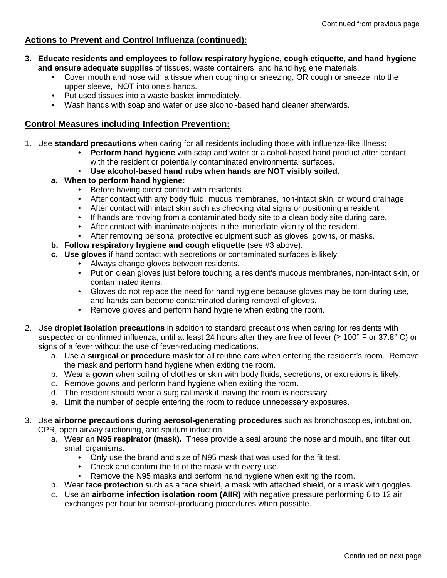## **Actions to Prevent and Control Influenza (continued):**

- **3. Educate residents and employees to follow respiratory hygiene, cough etiquette, and hand hygiene and ensure adequate supplies** of tissues, waste containers, and hand hygiene materials.
	- Cover mouth and nose with a tissue when coughing or sneezing, OR cough or sneeze into the upper sleeve, NOT into one's hands.
	- Put used tissues into a waste basket immediately.
	- Wash hands with soap and water or use alcohol-based hand cleaner afterwards.

### **Control Measures including Infection Prevention:**

- 1. Use **standard precautions** when caring for all residents including those with influenza-like illness:
	- **Perform hand hygiene** with soap and water or alcohol-based hand product after contact with the resident or potentially contaminated environmental surfaces.
	- **Use alcohol-based hand rubs when hands are NOT visibly soiled.**

#### **a. When to perform hand hygiene:**

- Before having direct contact with residents.
- After contact with any body fluid, mucus membranes, non-intact skin, or wound drainage.
- After contact with intact skin such as checking vital signs or positioning a resident.
- If hands are moving from a contaminated body site to a clean body site during care.
- After contact with inanimate objects in the immediate vicinity of the resident.
- After removing personal protective equipment such as gloves, gowns, or masks.
- **b. Follow respiratory hygiene and cough etiquette** (see #3 above).
- **c. Use gloves** if hand contact with secretions or contaminated surfaces is likely.
	- Always change gloves between residents.
	- Put on clean gloves just before touching a resident's mucous membranes, non-intact skin, or contaminated items.
	- Gloves do not replace the need for hand hygiene because gloves may be torn during use, and hands can become contaminated during removal of gloves.
	- Remove gloves and perform hand hygiene when exiting the room.
- 2. Use **droplet isolation precautions** in addition to standard precautions when caring for residents with suspected or confirmed influenza, until at least 24 hours after they are free of fever (≥ 100° F or 37.8° C) or signs of a fever without the use of fever-reducing medications.
	- a. Use a **surgical or procedure mask** for all routine care when entering the resident's room. Remove the mask and perform hand hygiene when exiting the room.
	- b. Wear a **gown** when soiling of clothes or skin with body fluids, secretions, or excretions is likely.
	- c. Remove gowns and perform hand hygiene when exiting the room.
	- d. The resident should wear a surgical mask if leaving the room is necessary.
	- e. Limit the number of people entering the room to reduce unnecessary exposures.

3. Use **airborne precautions during aerosol-generating procedures** such as bronchoscopies, intubation, CPR, open airway suctioning, and sputum induction.

- a. Wear an **N95 respirator (mask).** These provide a seal around the nose and mouth, and filter out small organisms.
	- Only use the brand and size of N95 mask that was used for the fit test.
	- Check and confirm the fit of the mask with every use.
	- Remove the N95 masks and perform hand hygiene when exiting the room.
- b. Wear **face protection** such as a face shield, a mask with attached shield, or a mask with goggles.
- c. Use an **airborne infection isolation room (AIIR)** with negative pressure performing 6 to 12 air exchanges per hour for aerosol-producing procedures when possible.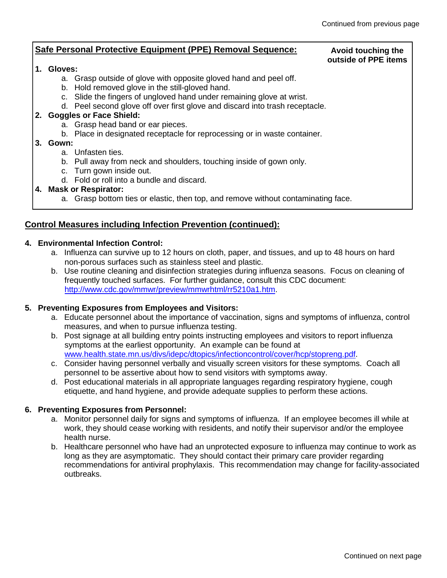#### **Safe Personal Protective Equipment (PPE) Removal Sequence: 1. Gloves:**  a. Grasp outside of glove with opposite gloved hand and peel off. b. Hold removed glove in the still-gloved hand. c. Slide the fingers of ungloved hand under remaining glove at wrist. d. Peel second glove off over first glove and discard into trash receptacle. **2. Goggles or Face Shield:**  a. Grasp head band or ear pieces. b. Place in designated receptacle for reprocessing or in waste container. **3. Gown:**  a. Unfasten ties. b. Pull away from neck and shoulders, touching inside of gown only. c. Turn gown inside out. d. Fold or roll into a bundle and discard. **4. Mask or Respirator:**  a. Grasp bottom ties or elastic, then top, and remove without contaminating face. **Avoid touching the outside of PPE items**

# **Control Measures including Infection Prevention (continued):**

### **4. Environmental Infection Control:**

- a. Influenza can survive up to 12 hours on cloth, paper, and tissues, and up to 48 hours on hard non-porous surfaces such as stainless steel and plastic.
- b. Use routine cleaning and disinfection strategies during influenza seasons. Focus on cleaning of frequently touched surfaces. For further guidance, consult this CDC document: http://www.cdc.gov/mmwr/preview/mmwrhtml/rr5210a1.htm.

### **5. Preventing Exposures from Employees and Visitors:**

- a. Educate personnel about the importance of vaccination, signs and symptoms of influenza, control measures, and when to pursue influenza testing.
- b. Post signage at all building entry points instructing employees and visitors to report influenza symptoms at the earliest opportunity. An example can be found at www.health.state.mn.us/divs/idepc/dtopics/infectioncontrol/cover/hcp/stopreng.pdf.
- c. Consider having personnel verbally and visually screen visitors for these symptoms. Coach all personnel to be assertive about how to send visitors with symptoms away.
- d. Post educational materials in all appropriate languages regarding respiratory hygiene, cough etiquette, and hand hygiene, and provide adequate supplies to perform these actions.

### **6. Preventing Exposures from Personnel:**

- a. Monitor personnel daily for signs and symptoms of influenza. If an employee becomes ill while at work, they should cease working with residents, and notify their supervisor and/or the employee health nurse.
- b. Healthcare personnel who have had an unprotected exposure to influenza may continue to work as long as they are asymptomatic. They should contact their primary care provider regarding recommendations for antiviral prophylaxis. This recommendation may change for facility-associated outbreaks.